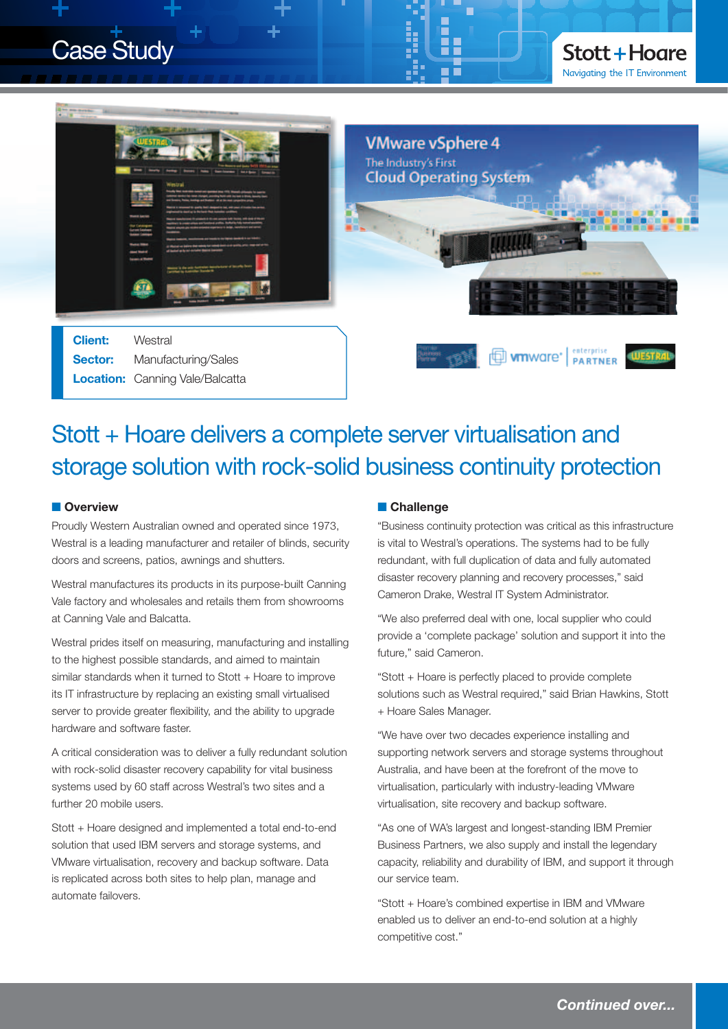## Case Study





### Stott + Hoare delivers a complete server virtualisation and storage solution with rock-solid business continuity protection

#### **n** Overview

Proudly Western Australian owned and operated since 1973, Westral is a leading manufacturer and retailer of blinds, security doors and screens, patios, awnings and shutters.

Westral manufactures its products in its purpose-built Canning Vale factory and wholesales and retails them from showrooms at Canning Vale and Balcatta.

Westral prides itself on measuring, manufacturing and installing to the highest possible standards, and aimed to maintain similar standards when it turned to Stott + Hoare to improve its IT infrastructure by replacing an existing small virtualised server to provide greater flexibility, and the ability to upgrade hardware and software faster.

A critical consideration was to deliver a fully redundant solution with rock-solid disaster recovery capability for vital business systems used by 60 staff across Westral's two sites and a further 20 mobile users.

Stott + Hoare designed and implemented a total end-to-end solution that used IBM servers and storage systems, and VMware virtualisation, recovery and backup software. Data is replicated across both sites to help plan, manage and automate failovers.

#### **n** Challenge

"Business continuity protection was critical as this infrastructure is vital to Westral's operations. The systems had to be fully redundant, with full duplication of data and fully automated disaster recovery planning and recovery processes," said Cameron Drake, Westral IT System Administrator.

"We also preferred deal with one, local supplier who could provide a 'complete package' solution and support it into the future," said Cameron.

"Stott + Hoare is perfectly placed to provide complete solutions such as Westral required," said Brian Hawkins, Stott + Hoare Sales Manager.

"We have over two decades experience installing and supporting network servers and storage systems throughout Australia, and have been at the forefront of the move to virtualisation, particularly with industry-leading VMware virtualisation, site recovery and backup software.

"As one of WA's largest and longest-standing IBM Premier Business Partners, we also supply and install the legendary capacity, reliability and durability of IBM, and support it through our service team.

"Stott + Hoare's combined expertise in IBM and VMware enabled us to deliver an end-to-end solution at a highly competitive cost."